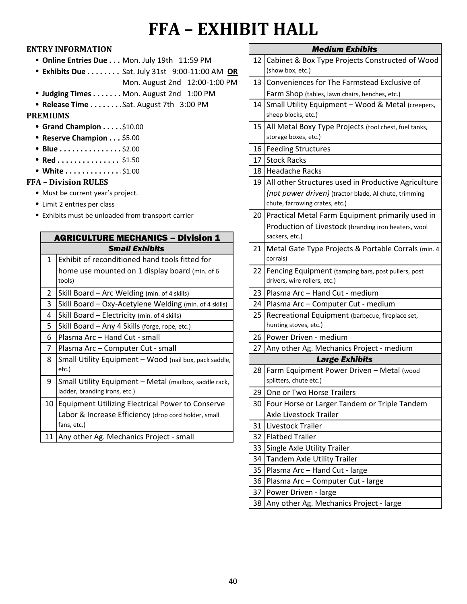# **FFA – EXHIBIT HALL**

### **ENTRY INFORMATION**

- **Online Entries Due . . . Mon. July 19th 11:59 PM**
- <sup>l</sup> **Exhibits Due . . . . . . . . . . . . . . . . .** Sat. July 31st 9:00-11:00 AM **OR** Mon. August 2nd 12:00-1:00 PM
- **Judging Times . . . . . . . Mon. August 2nd 1:00 PM**
- <sup>l</sup> **Release Time . . . . . . . . . . . . . . . . . .** Sat. August 7th 3:00 PM

#### **PREMIUMS**

- **Grand Champion . . . . \$10.00**
- **Reserve Champion . . . \$5.00**
- Blue . . . . . . . . . . . . . . \$2.00 | 16
- <sup>l</sup> **Red . . . . . . . . . . . . . . . . . . . . .** 17 \$1.50
- White . . . . . . . . . . . . \$1.00 | 18

#### **FFA – Division RULES**

- Must be current year's project.
- Limit 2 entries per class
- Exhibits must be unloaded from transport carrier

| $\mathbf{1}$ | <b>Small Exhibits</b><br>Exhibit of reconditioned hand tools fitted for | 21 |
|--------------|-------------------------------------------------------------------------|----|
|              |                                                                         |    |
|              |                                                                         |    |
|              | home use mounted on 1 display board (min. of 6<br>tools)                | 22 |
| 2            | Skill Board - Arc Welding (min. of 4 skills)                            | 23 |
| 3            | Skill Board - Oxy-Acetylene Welding (min. of 4 skills)                  | 24 |
| 4            | Skill Board - Electricity (min. of 4 skills)                            | 25 |
| 5            | Skill Board - Any 4 Skills (forge, rope, etc.)                          |    |
| 6            | Plasma Arc - Hand Cut - small                                           | 26 |
| 7            | Plasma Arc - Computer Cut - small                                       | 27 |
| 8            | Small Utility Equipment - Wood (nail box, pack saddle,                  |    |
| etc.)        |                                                                         | 28 |
| 9            | Small Utility Equipment - Metal (mailbox, saddle rack,                  |    |
|              | ladder, branding irons, etc.)                                           | 29 |
| 10           | Equipment Utilizing Electrical Power to Conserve                        | 30 |
|              | Labor & Increase Efficiency (drop cord holder, small                    |    |
|              | fans, etc.)                                                             | 31 |
| 11           | Any other Ag. Mechanics Project - small                                 | 32 |

| <b>Medium Exhibits</b> |                                                                               |  |  |
|------------------------|-------------------------------------------------------------------------------|--|--|
| 12                     | Cabinet & Box Type Projects Constructed of Wood                               |  |  |
|                        | (show box, etc.)                                                              |  |  |
| 13                     | Conveniences for The Farmstead Exclusive of                                   |  |  |
|                        | Farm Shop (tables, lawn chairs, benches, etc.)                                |  |  |
| 14                     | Small Utility Equipment - Wood & Metal (creepers,<br>sheep blocks, etc.)      |  |  |
| 15                     | All Metal Boxy Type Projects (tool chest, fuel tanks,<br>storage boxes, etc.) |  |  |
| 16                     | <b>Feeding Structures</b>                                                     |  |  |
| 17                     | <b>Stock Racks</b>                                                            |  |  |
| 18                     | <b>Headache Racks</b>                                                         |  |  |
| 19                     | All other Structures used in Productive Agriculture                           |  |  |
|                        | (not power driven) (tractor blade, AI chute, trimming                         |  |  |
|                        | chute, farrowing crates, etc.)                                                |  |  |
| 20                     | Practical Metal Farm Equipment primarily used in                              |  |  |
|                        | Production of Livestock (branding iron heaters, wool                          |  |  |
|                        | sackers, etc.)                                                                |  |  |
| 21                     | Metal Gate Type Projects & Portable Corrals (min. 4                           |  |  |
|                        | corrals)                                                                      |  |  |
| 22                     | Fencing Equipment (tamping bars, post pullers, post                           |  |  |
|                        | drivers, wire rollers, etc.)                                                  |  |  |
| 23                     | Plasma Arc - Hand Cut - medium                                                |  |  |
| 24                     | Plasma Arc - Computer Cut - medium                                            |  |  |
| 25                     | Recreational Equipment (barbecue, fireplace set,                              |  |  |
|                        | hunting stoves, etc.)                                                         |  |  |
| 26                     | Power Driven - medium                                                         |  |  |
| 27                     | Any other Ag. Mechanics Project - medium                                      |  |  |
| <b>Large Exhibits</b>  |                                                                               |  |  |
| 28                     | Farm Equipment Power Driven - Metal (wood                                     |  |  |
|                        | splitters, chute etc.)                                                        |  |  |
| 29                     | One or Two Horse Trailers                                                     |  |  |
| 30                     | Four Horse or Larger Tandem or Triple Tandem                                  |  |  |
|                        | Axle Livestock Trailer                                                        |  |  |
| 31                     | Livestock Trailer                                                             |  |  |
| 32                     | <b>Flatbed Trailer</b>                                                        |  |  |
| 33                     | Single Axle Utility Trailer                                                   |  |  |
| 34                     | <b>Tandem Axle Utility Trailer</b>                                            |  |  |
| 35                     | Plasma Arc - Hand Cut - large                                                 |  |  |
| 36                     | Plasma Arc - Computer Cut - large                                             |  |  |
| 37                     | Power Driven - large                                                          |  |  |

38 Any other Ag. Mechanics Project - large